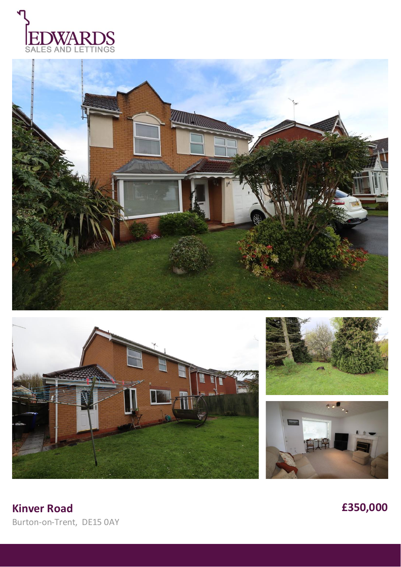









**Kinver Road £350,000** Burton-on-Trent, DE15 0AY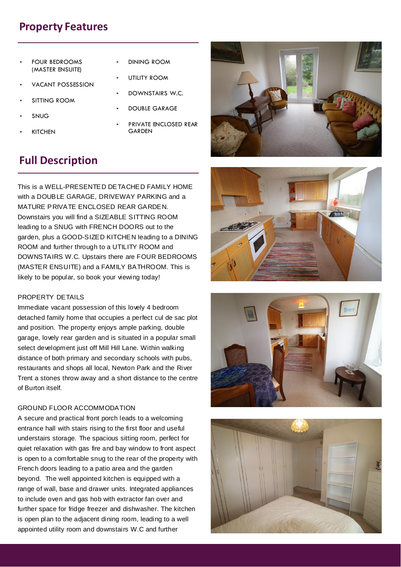## **Property Features**

- FOUR BEDROOMS (MASTER ENSUITE)
- VACANT POSSESSION
- **SITTING ROOM**
- SNUG
- **KITCHEN**
- DINING ROOM
- UTILITY ROOM
- DOWNSTAIRS W.C.
- DOUBLE GARAGE
	- PRIVATE ENCLOSED REAR **GARDEN**

# **Full Description**

This is a WELL-PRESENTED DETACHED FAMILY HOME with a DOUBLE GARAGE, DRIVEWAY PARKING and a MATURE PRIVATE ENCLOSED REAR GARDEN. Downstairs you will find a SIZEABLE SITTING ROOM leading to a SNUG with FRENCH DOORS out to the garden, plus a GOOD-SIZED KITCHEN leading to a DINING ROOM and further through to a UTILITY ROOM and DOWNSTAIRS W.C. Upstairs there are FOUR BEDROOMS (MASTER ENSUITE) and a FAMILY BATHROOM. This is likely to be popular, so book your viewing today!

### PROPERTY DETAILS

Immediate vacant possession of this lovely 4 bedroom detached family home that occupies a perfect cul de sac plot and position. The property enjoys ample parking, double garage, lovely rear garden and is situated in a popular small select development just off Mill Hill Lane. Within walking distance of both primary and secondary schools with pubs, restaurants and shops all local, Newton Park and the River Trent a stones throw away and a short distance to the centre of Burton itself.

#### GROUND FLOOR ACCOMMODATION

A secure and practical front porch leads to a welcoming entrance hall with stairs rising to the first floor and useful understairs storage. The spacious sitting room, perfect for quiet relaxation with gas fire and bay window to front aspect is open to a comfortable snug to the rear of the property with French doors leading to a patio area and the garden beyond. The well appointed kitchen is equipped with a range of wall, base and drawer units. Integrated appliances to include oven and gas hob with extractor fan over and further space for fridge freezer and dishwasher. The kitchen is open plan to the adjacent dining room, leading to a well appointed utility room and downstairs W.C and further







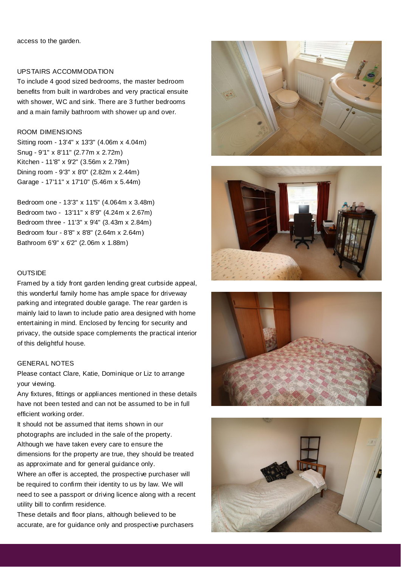access to the garden.

## UPSTAIRS ACCOMMODATION

To include 4 good sized bedrooms, the master bedroom benefits from built in wardrobes and very practical ensuite with shower, WC and sink. There are 3 further bedrooms and a main family bathroom with shower up and over.

#### ROOM DIMENSIONS

Sitting room - 13'4" x 13'3" (4.06m x 4.04m) Snug - 9'1" x 8'11" (2.77m x 2.72m) Kitchen - 11'8" x 9'2" (3.56m x 2.79m) Dining room - 9'3" x 8'0" (2.82m x 2.44m) Garage - 17'11" x 17'10" (5.46m x 5.44m)

Bedroom one - 13'3" x 11'5" (4.064m x 3.48m) Bedroom two - 13'11" x 8'9" (4.24m x 2.67m) Bedroom three - 11'3" x 9'4" (3.43m x 2.84m) Bedroom four - 8'8" x 8'8" (2.64m x 2.64m) Bathroom 6'9" x 6'2" (2.06m x 1.88m)

## **OUTSIDE**

Framed by a tidy front garden lending great curbside appeal, this wonderful family home has ample space for driveway parking and integrated double garage. The rear garden is mainly laid to lawn to include patio area designed with home entertaining in mind. Enclosed by fencing for security and privacy, the outside space complements the practical interior of this delightful house.

## GENERAL NOTES

Please contact Clare, Katie, Dominique or Liz to arrange your viewing.

Any fixtures, fittings or appliances mentioned in these details have not been tested and can not be assumed to be in full efficient working order.

It should not be assumed that items shown in our photographs are included in the sale of the property. Although we have taken every care to ensure the dimensions for the property are true, they should be treated as approximate and for general guidance only.

Where an offer is accepted, the prospective purchaser will be required to confirm their identity to us by law. We will need to see a passport or driving licence along with a recent utility bill to confirm residence.

These details and floor plans, although believed to be accurate, are for guidance only and prospective purchasers